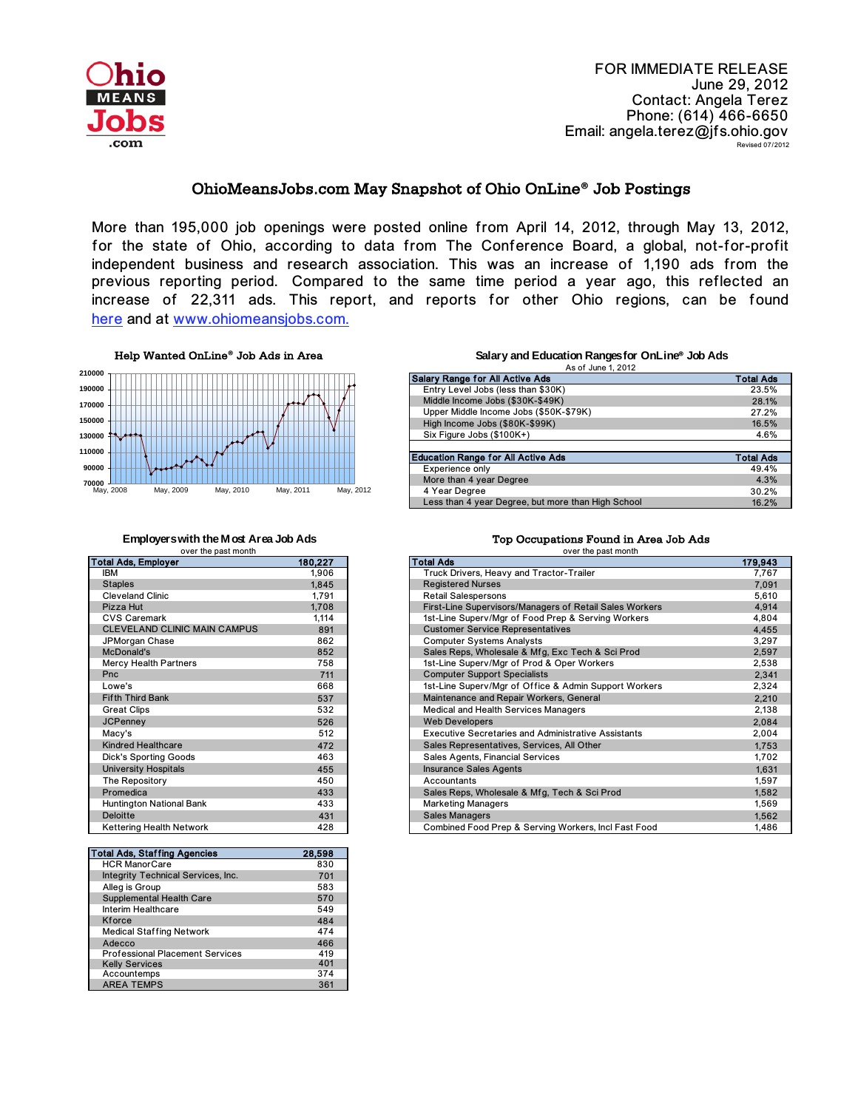

FOR IMMEDIATE RELEASE June 29, 2012 Contact: Angela Terez Phone: (614) 466-6650 Email: angela.terez@jfs.ohio.gov Revised 07/2012

## OhioMeansJobs.com May Snapshot of Ohio OnLine**®** Job Postings

More than 195,000 job openings were posted online from April 14, 2012, through May 13, 2012, for the state of Ohio, according to data from The Conference Board, a global, not-for-profit independent business and research association. This was an increase of 1,190 ads from the previous reporting period. Compared to the same time period a year ago, this reflected an increase of 22,311 ads. This report, and reports for other Ohio regions, can be found [here and at w](http://ohiolmi.com/asp/omj/hw.htm)ww.ohiomeansjobs.com.

Help Wanted OnLine**®** Job Ads in Area



over the past month

| <b>Total Ads, Employer</b>          | 180,227 |
|-------------------------------------|---------|
| <b>IBM</b>                          | 1,906   |
| <b>Staples</b>                      | 1.845   |
| <b>Cleveland Clinic</b>             | 1,791   |
| Pizza Hut                           | 1,708   |
| <b>CVS Caremark</b>                 | 1,114   |
| <b>CLEVELAND CLINIC MAIN CAMPUS</b> | 891     |
| JPMorgan Chase                      | 862     |
| McDonald's                          | 852     |
| <b>Mercy Health Partners</b>        | 758     |
| Pnc                                 | 711     |
| I owe's                             | 668     |
| <b>Fifth Third Bank</b>             | 537     |
| <b>Great Clips</b>                  | 532     |
| <b>JCPenney</b>                     | 526     |
| Macy's                              | 512     |
| <b>Kindred Healthcare</b>           | 472     |
| <b>Dick's Sporting Goods</b>        | 463     |
| <b>University Hospitals</b>         | 455     |
| The Repository                      | 450     |
| Promedica                           | 433     |
| <b>Huntington National Bank</b>     | 433     |
| <b>Deloitte</b>                     | 431     |
| <b>Kettering Health Network</b>     | 428     |
|                                     |         |

| <b>Total Ads, Staffing Agencies</b>    | 28,598 |
|----------------------------------------|--------|
| <b>HCR ManorCare</b>                   | 830    |
| Integrity Technical Services, Inc.     | 701    |
| Alleg is Group                         | 583    |
| Supplemental Health Care               | 570    |
| Interim Healthcare                     | 549    |
| Kforce                                 | 484    |
| <b>Medical Staffing Network</b>        | 474    |
| Adecco                                 | 466    |
| <b>Professional Placement Services</b> | 419    |
| <b>Kelly Services</b>                  | 401    |
| Accountemps                            | 374    |
| <b>AREA TEMPS</b>                      | 361    |

## **Salary and Education Ranges for OnLine® Job Ads** As of June 1, 2012

| <b>Salary Range for All Active Ads</b>             | <b>Total Ads</b> |
|----------------------------------------------------|------------------|
| Entry Level Jobs (less than \$30K)                 | 23.5%            |
| Middle Income Jobs (\$30K-\$49K)                   | 28.1%            |
| Upper Middle Income Jobs (\$50K-\$79K)             | 27.2%            |
| High Income Jobs (\$80K-\$99K)                     | 16.5%            |
| Six Figure Jobs (\$100K+)                          | 4.6%             |
|                                                    |                  |
| <b>Education Range for All Active Ads</b>          | <b>Total Ads</b> |
| Experience only                                    | 49.4%            |
| More than 4 year Degree                            | 4.3%             |
| 4 Year Degree                                      | 30.2%            |
|                                                    |                  |
| Less than 4 year Degree, but more than High School | 16.2%            |

## **Employers with the Most Area Job Ads Top Occupations Found in Area Job Ads**

| <b>OVEL LITE DASLITIONER</b>        |         | <b>OVEL LIE DASLITIOIRE</b>                                |         |
|-------------------------------------|---------|------------------------------------------------------------|---------|
| Total Ads, Employer                 | 180,227 | l Total Ads                                                | 179,943 |
| <b>IBM</b>                          | 1,906   | Truck Drivers, Heavy and Tractor-Trailer                   | 7.767   |
| <b>Staples</b>                      | 1,845   | <b>Registered Nurses</b>                                   | 7.091   |
| <b>Cleveland Clinic</b>             | 1,791   | <b>Retail Salespersons</b>                                 | 5,610   |
| Pizza Hut                           | 1.708   | First-Line Supervisors/Managers of Retail Sales Workers    | 4.914   |
| <b>CVS Caremark</b>                 | 1,114   | 1st-Line Superv/Mgr of Food Prep & Serving Workers         | 4,804   |
| <b>CLEVELAND CLINIC MAIN CAMPUS</b> | 891     | <b>Customer Service Representatives</b>                    | 4.455   |
| JPMorgan Chase                      | 862     | <b>Computer Systems Analysts</b>                           | 3,297   |
| McDonald's                          | 852     | Sales Reps, Wholesale & Mfg, Exc Tech & Sci Prod           | 2.597   |
| Mercy Health Partners               | 758     | 1st-Line Superv/Mgr of Prod & Oper Workers                 | 2,538   |
| Pnc                                 | 711     | <b>Computer Support Specialists</b>                        | 2,341   |
| Lowe's                              | 668     | 1st-Line Superv/Mgr of Office & Admin Support Workers      | 2,324   |
| <b>Fifth Third Bank</b>             | 537     | Maintenance and Repair Workers, General                    | 2,210   |
| <b>Great Clips</b>                  | 532     | Medical and Health Services Managers                       | 2,138   |
| <b>JCPenney</b>                     | 526     | <b>Web Developers</b>                                      | 2,084   |
| Macy's                              | 512     | <b>Executive Secretaries and Administrative Assistants</b> | 2,004   |
| <b>Kindred Healthcare</b>           | 472     | Sales Representatives, Services, All Other                 | 1.753   |
| <b>Dick's Sporting Goods</b>        | 463     | Sales Agents, Financial Services                           | 1.702   |
| <b>University Hospitals</b>         | 455     | <b>Insurance Sales Agents</b>                              | 1,631   |
| The Repository                      | 450     | Accountants                                                | 1,597   |
| Promedica                           | 433     | Sales Reps, Wholesale & Mfg, Tech & Sci Prod               | 1,582   |
| <b>Huntington National Bank</b>     | 433     | <b>Marketing Managers</b>                                  | 1,569   |
| <b>Deloitte</b>                     | 431     | <b>Sales Managers</b>                                      | 1.562   |
| <b>Kettering Health Network</b>     | 428     | Combined Food Prep & Serving Workers, Incl Fast Food       | 1,486   |